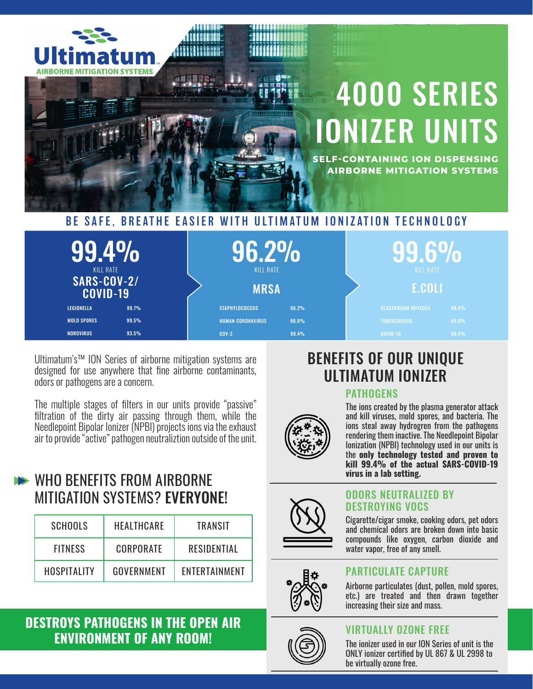

| $99.4\%$<br>KILL RATE<br>SARS-COV-2/ | <b>KILL RATE</b>         |       | KILL RATE                    |       |
|--------------------------------------|--------------------------|-------|------------------------------|-------|
| <b>COVID-19</b>                      | <b>MRSA</b>              |       | E.COLI                       |       |
| 99.7%<br>LEGIONELLA                  | <b>STAPHYLOCOCCUS</b>    | 96.2% | <b>CLASTRIDIUM DIFFICILE</b> | 86.8% |
| <b>MOLD SPORES</b><br>99.5%          | <b>HUMAN CORONAVIRUS</b> | 90.0% | <b>TUBERCULOSIS</b>          | 69.0% |
| <b>NOROVIRUS</b><br>93.5%            | $COV-2$                  | 99.4% | <b>COVID-19</b>              | 99.4% |

Ultimatum's™ ION Series of airborne mitigation systems are designed for use anywhere that fine airborne contaminants, odors or pathogens are a concern.

The multiple stages of filters in our units provide "passive" filtration of the dirty air passing through them, while the Needlepoint Bipolar Ionizer (NPBI) projects ions via the exhaust air to provide "active" pathogen neutraliztion outside of the unit.

# WHO BENEFITS FROM AIRBORNE MITIGATION SYSTEMS? EVERYONE!

| <b>SCHOOLS</b> | HEALTHCARE | TRANSIT       |
|----------------|------------|---------------|
| <b>FITNESS</b> | CORPORATE  | RESIDENTIAL   |
| HOSPITALITY    | GOVERNMENT | ENTERTAINMENT |

## **DESTROYS PATHOGENS IN THE OPEN AIR ENVIRONMENT OF ANY ROOM!**

# BENEFITS OF OUR UNIQUE ULTIMATUM IONIZER

#### **PATHOGENS**



The ions created by the plasma generator attack and kill viruses, mold spores, and bacteria. The ions steal away hydrogren from the pathogens rendering them inactive. The Needlepoint Bipolar Ionization (NPBI) technology used in our units is the **only technology tested and proven to kill 99.4% of the actual SARS-COVID-19 virus in a lab setting.**



#### ODORS NEUTRALIZED BY DESTROYING VOCS

Cigarette/cigar smoke, cooking odors, pet odors and chemical odors are broken down into basic compounds like oxygen, carbon dioxide and water vapor, free of any smell.

Airborne particulates (dust, pollen, mold spores,



#### etc.) are treated and then drawn together increasing their size and mass.

PARTICULATE CAPTURE



## VIRTUALLY OZONE FREE

The ionizer used in our ION Series of unit is the ONLY ionizer certified by UL 867 & UL 2998 to be virtually ozone free.